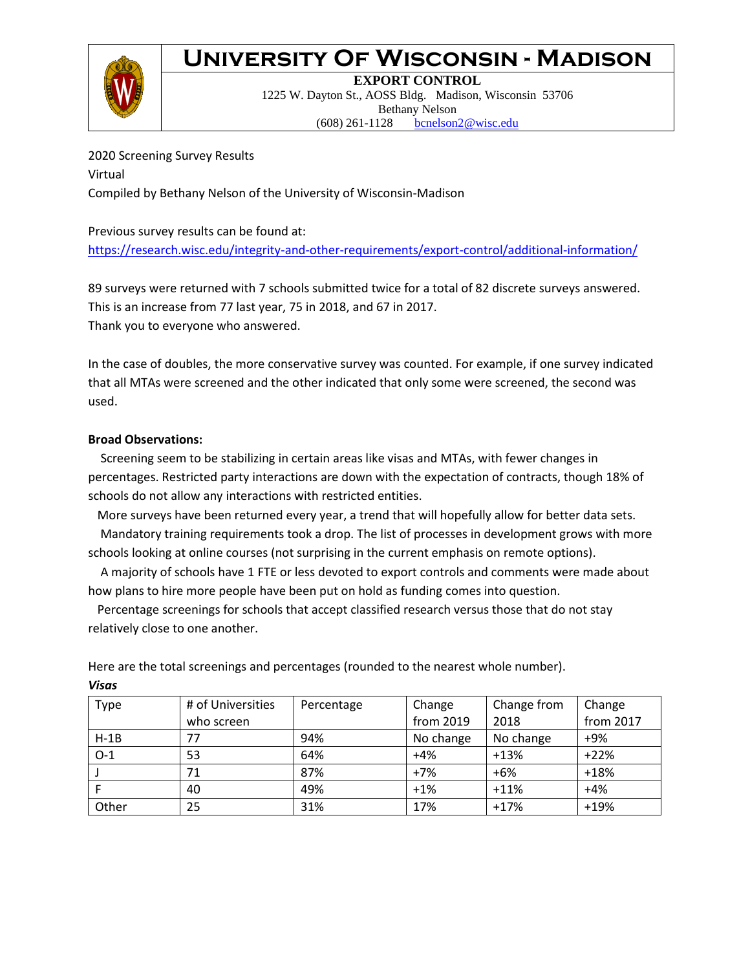

**EXPORT CONTROL** 1225 W. Dayton St., AOSS Bldg. Madison, Wisconsin 53706 Bethany Nelson (608) 261-1128 [bcnelson2@wisc.edu](mailto:bcnelson2@wisc.edu)

2020 Screening Survey Results Virtual Compiled by Bethany Nelson of the University of Wisconsin-Madison

#### Previous survey results can be found at: <https://research.wisc.edu/integrity-and-other-requirements/export-control/additional-information/>

89 surveys were returned with 7 schools submitted twice for a total of 82 discrete surveys answered. This is an increase from 77 last year, 75 in 2018, and 67 in 2017. Thank you to everyone who answered.

In the case of doubles, the more conservative survey was counted. For example, if one survey indicated that all MTAs were screened and the other indicated that only some were screened, the second was used.

#### **Broad Observations:**

*Visas*

 Screening seem to be stabilizing in certain areas like visas and MTAs, with fewer changes in percentages. Restricted party interactions are down with the expectation of contracts, though 18% of schools do not allow any interactions with restricted entities.

More surveys have been returned every year, a trend that will hopefully allow for better data sets.

 Mandatory training requirements took a drop. The list of processes in development grows with more schools looking at online courses (not surprising in the current emphasis on remote options).

 A majority of schools have 1 FTE or less devoted to export controls and comments were made about how plans to hire more people have been put on hold as funding comes into question.

 Percentage screenings for schools that accept classified research versus those that do not stay relatively close to one another.

| <b>Type</b> | # of Universities | Percentage | Change    | Change from | Change    |
|-------------|-------------------|------------|-----------|-------------|-----------|
|             | who screen        |            | from 2019 | 2018        | from 2017 |
| $H-1B$      | 77                | 94%        | No change | No change   | $+9%$     |
| $O-1$       | 53                | 64%        | $+4%$     | $+13%$      | $+22%$    |
|             | 71                | 87%        | $+7%$     | $+6%$       | $+18%$    |
|             | 40                | 49%        | $+1%$     | $+11%$      | $+4%$     |
| Other       | 25                | 31%        | 17%       | $+17%$      | $+19%$    |

Here are the total screenings and percentages (rounded to the nearest whole number).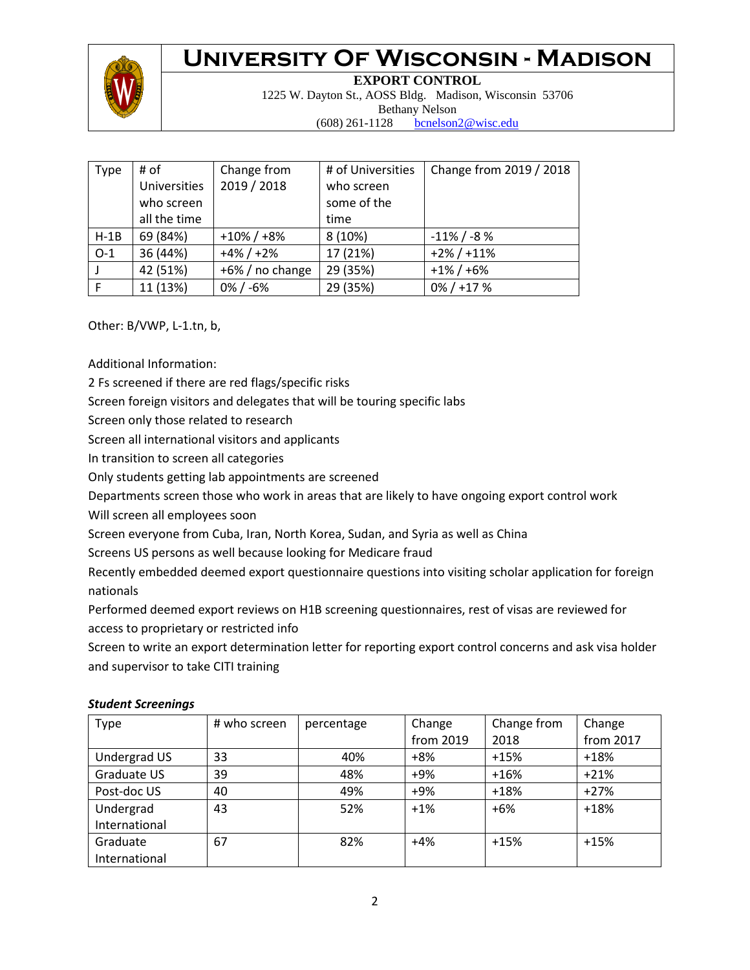

**EXPORT CONTROL** 1225 W. Dayton St., AOSS Bldg. Madison, Wisconsin 53706 Bethany Nelson (608) 261-1128 [bcnelson2@wisc.edu](mailto:bcnelson2@wisc.edu)

| Type         | # of                | Change from     | # of Universities | Change from 2019 / 2018 |
|--------------|---------------------|-----------------|-------------------|-------------------------|
|              | <b>Universities</b> | 2019 / 2018     | who screen        |                         |
|              | who screen          |                 | some of the       |                         |
|              | all the time        |                 | time              |                         |
| $H-1B$       | 69 (84%)            | $+10\% / +8\%$  | 8(10%)            | $-11\%$ / $-8\%$        |
| $O-1$        | 36 (44%)            | $+4\% / +2\%$   | 17 (21%)          | $+2\% / +11\%$          |
|              | 42 (51%)            | +6% / no change | 29 (35%)          | $+1\% / +6\%$           |
| $\mathsf{F}$ | 11 (13%)            | $0\% / -6\%$    | 29 (35%)          | $0\% / +17\%$           |

Other: B/VWP, L-1.tn, b,

Additional Information:

2 Fs screened if there are red flags/specific risks

Screen foreign visitors and delegates that will be touring specific labs

Screen only those related to research

Screen all international visitors and applicants

In transition to screen all categories

Only students getting lab appointments are screened

Departments screen those who work in areas that are likely to have ongoing export control work

Will screen all employees soon

Screen everyone from Cuba, Iran, North Korea, Sudan, and Syria as well as China

Screens US persons as well because looking for Medicare fraud

Recently embedded deemed export questionnaire questions into visiting scholar application for foreign nationals

Performed deemed export reviews on H1B screening questionnaires, rest of visas are reviewed for

access to proprietary or restricted info

Screen to write an export determination letter for reporting export control concerns and ask visa holder and supervisor to take CITI training

| <b>Type</b>   | # who screen | percentage | Change    | Change from | Change    |
|---------------|--------------|------------|-----------|-------------|-----------|
|               |              |            | from 2019 | 2018        | from 2017 |
| Undergrad US  | 33           | 40%        | $+8%$     | $+15%$      | $+18%$    |
| Graduate US   | 39           | 48%        | +9%       | $+16%$      | $+21%$    |
| Post-doc US   | 40           | 49%        | +9%       | $+18%$      | $+27%$    |
| Undergrad     | 43           | 52%        | $+1%$     | $+6%$       | $+18%$    |
| International |              |            |           |             |           |
| Graduate      | 67           | 82%        | $+4%$     | $+15%$      | $+15%$    |
| International |              |            |           |             |           |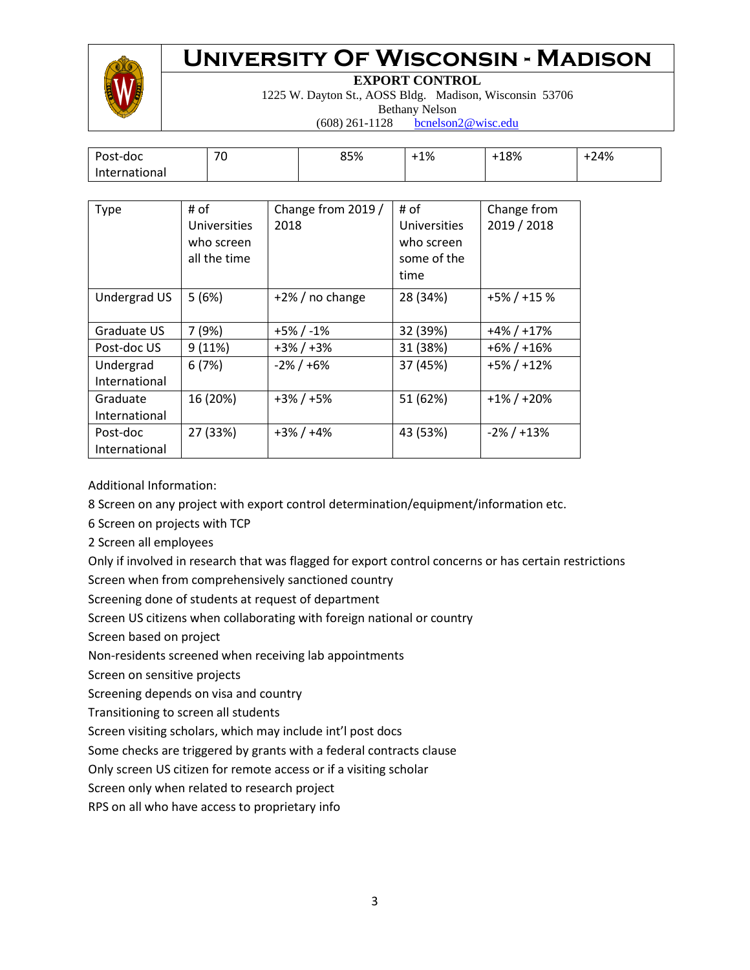

**EXPORT CONTROL**

1225 W. Dayton St., AOSS Bldg. Madison, Wisconsin 53706

Bethany Nelson

(608) 261-1128 [bcnelson2@wisc.edu](mailto:bcnelson2@wisc.edu)

| Post-doc      | $\overline{\phantom{a}}$<br>7 U | 85% | 1% | 18% | $-24%$ |
|---------------|---------------------------------|-----|----|-----|--------|
| International |                                 |     |    |     |        |

| <b>Type</b>                | # of<br><b>Universities</b><br>who screen<br>all the time | Change from 2019 /<br>2018 | # of<br>Universities<br>who screen<br>some of the<br>time | Change from<br>2019 / 2018 |
|----------------------------|-----------------------------------------------------------|----------------------------|-----------------------------------------------------------|----------------------------|
| Undergrad US               | 5(6%)                                                     | $+2\%$ / no change         | 28 (34%)                                                  | $+5\% / +15\%$             |
| Graduate US                | 7 (9%)                                                    | $+5\% / -1\%$              | 32 (39%)                                                  | $+4\% / +17\%$             |
| Post-doc US                | 9(11%)                                                    | $+3\% / +3\%$              | 31 (38%)                                                  | $+6\% / +16\%$             |
| Undergrad<br>International | 6(7%)                                                     | $-2\% / +6\%$              | 37 (45%)                                                  | $+5\% / +12\%$             |
| Graduate<br>International  | 16 (20%)                                                  | $+3\% / +5\%$              | 51 (62%)                                                  | $+1\% / +20\%$             |
| Post-doc<br>International  | 27 (33%)                                                  | $+3\% / +4\%$              | 43 (53%)                                                  | $-2\% / +13\%$             |

Additional Information:

8 Screen on any project with export control determination/equipment/information etc.

6 Screen on projects with TCP

2 Screen all employees

Only if involved in research that was flagged for export control concerns or has certain restrictions Screen when from comprehensively sanctioned country

Screening done of students at request of department

Screen US citizens when collaborating with foreign national or country

Screen based on project

Non-residents screened when receiving lab appointments

Screen on sensitive projects

Screening depends on visa and country

Transitioning to screen all students

Screen visiting scholars, which may include int'l post docs

Some checks are triggered by grants with a federal contracts clause

Only screen US citizen for remote access or if a visiting scholar

Screen only when related to research project

RPS on all who have access to proprietary info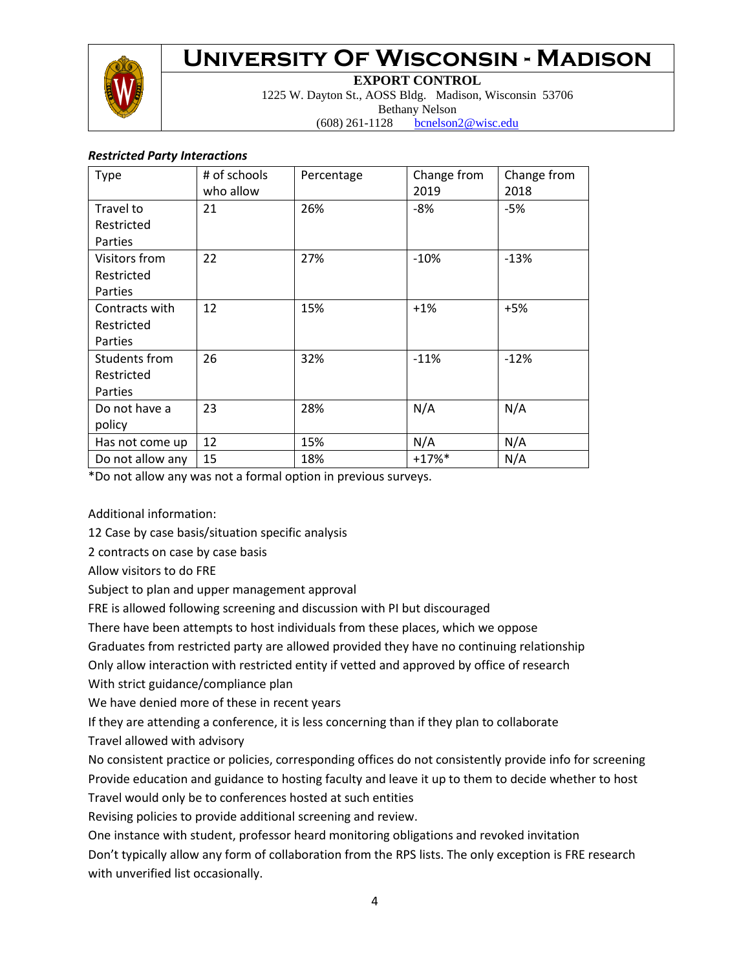

**EXPORT CONTROL**

1225 W. Dayton St., AOSS Bldg. Madison, Wisconsin 53706 Bethany Nelson

(608) 261-1128 [bcnelson2@wisc.edu](mailto:bcnelson2@wisc.edu)

#### *Restricted Party Interactions*

| Type             | # of schools<br>who allow | Percentage | Change from<br>2019 | Change from<br>2018 |
|------------------|---------------------------|------------|---------------------|---------------------|
| Travel to        | 21                        | 26%        | -8%                 | -5%                 |
| Restricted       |                           |            |                     |                     |
| Parties          |                           |            |                     |                     |
| Visitors from    | 22                        | 27%        | $-10%$              | $-13%$              |
| Restricted       |                           |            |                     |                     |
| Parties          |                           |            |                     |                     |
| Contracts with   | 12                        | 15%        | $+1%$               | $+5%$               |
| Restricted       |                           |            |                     |                     |
| Parties          |                           |            |                     |                     |
| Students from    | 26                        | 32%        | $-11%$              | $-12%$              |
| Restricted       |                           |            |                     |                     |
| Parties          |                           |            |                     |                     |
| Do not have a    | 23                        | 28%        | N/A                 | N/A                 |
| policy           |                           |            |                     |                     |
| Has not come up  | 12                        | 15%        | N/A                 | N/A                 |
| Do not allow any | 15                        | 18%        | $+17%$              | N/A                 |

\*Do not allow any was not a formal option in previous surveys.

Additional information:

12 Case by case basis/situation specific analysis

2 contracts on case by case basis

Allow visitors to do FRE

Subject to plan and upper management approval

FRE is allowed following screening and discussion with PI but discouraged

There have been attempts to host individuals from these places, which we oppose

Graduates from restricted party are allowed provided they have no continuing relationship

Only allow interaction with restricted entity if vetted and approved by office of research

With strict guidance/compliance plan

We have denied more of these in recent years

If they are attending a conference, it is less concerning than if they plan to collaborate

Travel allowed with advisory

No consistent practice or policies, corresponding offices do not consistently provide info for screening Provide education and guidance to hosting faculty and leave it up to them to decide whether to host Travel would only be to conferences hosted at such entities

Revising policies to provide additional screening and review.

One instance with student, professor heard monitoring obligations and revoked invitation Don't typically allow any form of collaboration from the RPS lists. The only exception is FRE research with unverified list occasionally.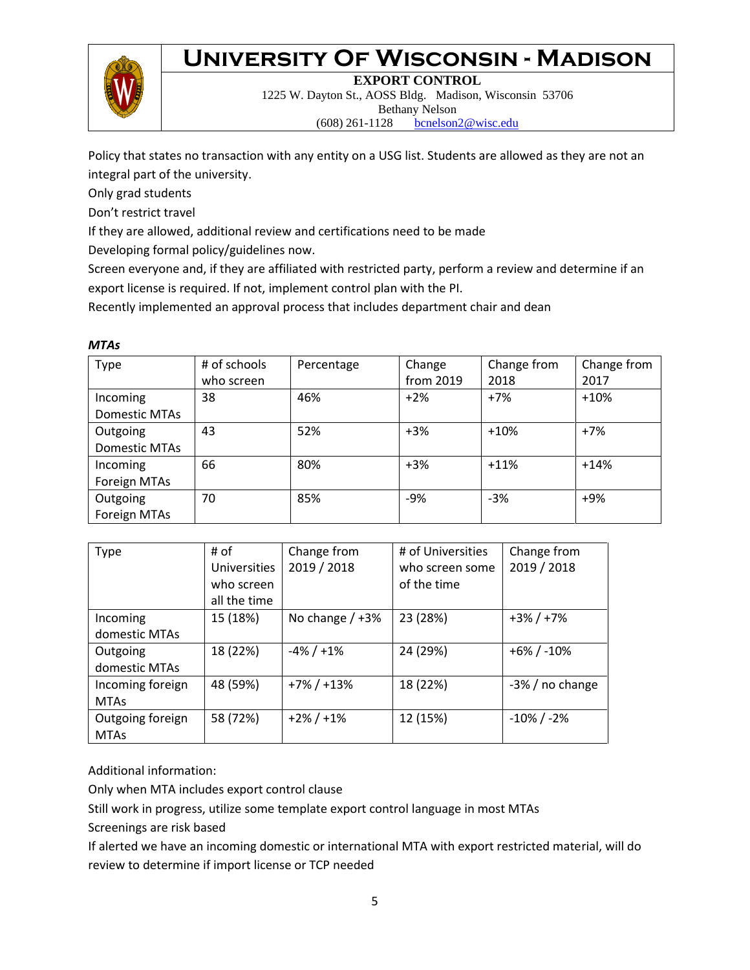

**EXPORT CONTROL**

1225 W. Dayton St., AOSS Bldg. Madison, Wisconsin 53706 Bethany Nelson (608) 261-1128 [bcnelson2@wisc.edu](mailto:bcnelson2@wisc.edu)

Policy that states no transaction with any entity on a USG list. Students are allowed as they are not an integral part of the university.

Only grad students

Don't restrict travel

If they are allowed, additional review and certifications need to be made

Developing formal policy/guidelines now.

Screen everyone and, if they are affiliated with restricted party, perform a review and determine if an export license is required. If not, implement control plan with the PI.

Recently implemented an approval process that includes department chair and dean

#### *MTAs*

| Type                 | # of schools | Percentage | Change    | Change from | Change from |
|----------------------|--------------|------------|-----------|-------------|-------------|
|                      | who screen   |            | from 2019 | 2018        | 2017        |
| Incoming             | 38           | 46%        | $+2%$     | $+7%$       | $+10%$      |
| <b>Domestic MTAs</b> |              |            |           |             |             |
| Outgoing             | 43           | 52%        | $+3%$     | $+10%$      | $+7%$       |
| Domestic MTAs        |              |            |           |             |             |
| Incoming             | 66           | 80%        | $+3%$     | $+11%$      | $+14%$      |
| Foreign MTAs         |              |            |           |             |             |
| Outgoing             | 70           | 85%        | $-9%$     | $-3%$       | +9%         |
| Foreign MTAs         |              |            |           |             |             |

| Type             | # of                | Change from       | # of Universities | Change from        |
|------------------|---------------------|-------------------|-------------------|--------------------|
|                  | <b>Universities</b> | 2019 / 2018       | who screen some   | 2019 / 2018        |
|                  | who screen          |                   | of the time       |                    |
|                  | all the time        |                   |                   |                    |
| Incoming         | 15 (18%)            | No change $/ +3%$ | 23 (28%)          | $+3\% / +7\%$      |
| domestic MTAs    |                     |                   |                   |                    |
| Outgoing         | 18 (22%)            | $-4\% / +1\%$     | 24 (29%)          | $+6\% / -10\%$     |
| domestic MTAs    |                     |                   |                   |                    |
| Incoming foreign | 48 (59%)            | $+7\% / +13\%$    | 18 (22%)          | $-3\%$ / no change |
| <b>MTAs</b>      |                     |                   |                   |                    |
| Outgoing foreign | 58 (72%)            | $+2\% / +1\%$     | 12 (15%)          | $-10\%$ / $-2\%$   |
| <b>MTAs</b>      |                     |                   |                   |                    |

Additional information:

Only when MTA includes export control clause

Still work in progress, utilize some template export control language in most MTAs

Screenings are risk based

If alerted we have an incoming domestic or international MTA with export restricted material, will do review to determine if import license or TCP needed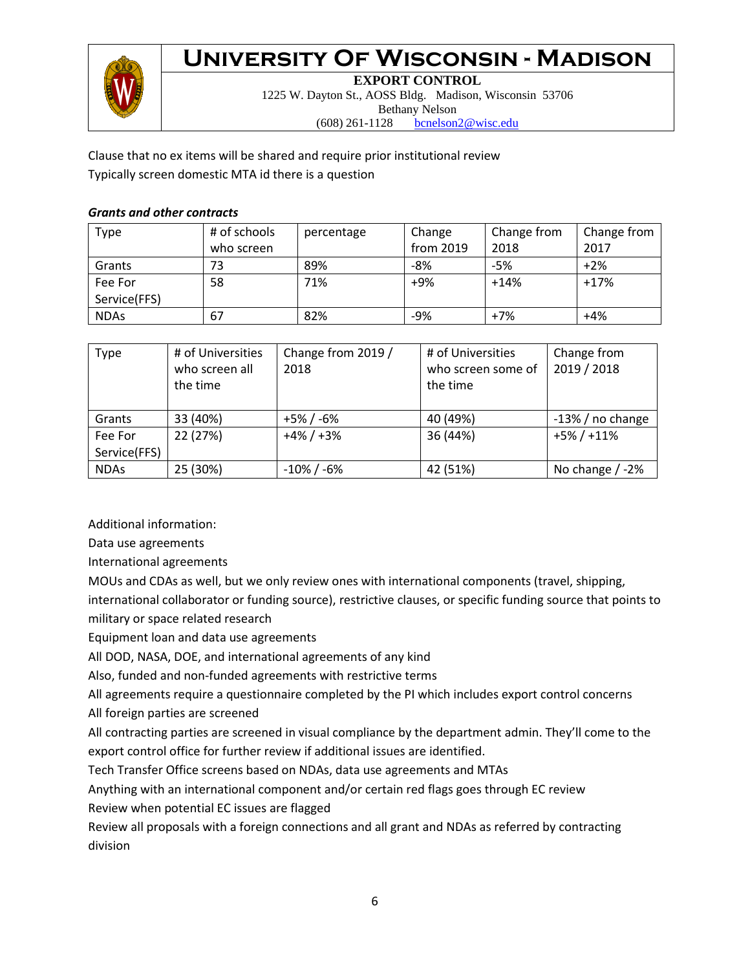

**EXPORT CONTROL** 1225 W. Dayton St., AOSS Bldg. Madison, Wisconsin 53706 Bethany Nelson (608) 261-1128 [bcnelson2@wisc.edu](mailto:bcnelson2@wisc.edu)

Clause that no ex items will be shared and require prior institutional review Typically screen domestic MTA id there is a question

### *Grants and other contracts*

| Type         | # of schools | percentage | Change    | Change from | Change from |
|--------------|--------------|------------|-----------|-------------|-------------|
|              | who screen   |            | from 2019 | 2018        | 2017        |
| Grants       | 73           | 89%        | $-8%$     | $-5%$       | $+2\%$      |
| Fee For      | 58           | 71%        | $+9%$     | $+14%$      | $+17%$      |
| Service(FFS) |              |            |           |             |             |
| <b>NDAs</b>  | 67           | 82%        | -9%       | $+7%$       | $+4%$       |

| Type         | # of Universities<br>who screen all<br>the time | Change from 2019 /<br>2018 | # of Universities<br>who screen some of<br>the time | Change from<br>2019 / 2018 |
|--------------|-------------------------------------------------|----------------------------|-----------------------------------------------------|----------------------------|
| Grants       | 33 (40%)                                        | +5% / -6%                  | 40 (49%)                                            | $-13%$ / no change         |
| Fee For      | 22 (27%)                                        | $+4\% / +3\%$              | 36 (44%)                                            | $+5\% / +11\%$             |
| Service(FFS) |                                                 |                            |                                                     |                            |
| <b>NDAs</b>  | 25 (30%)                                        | $-10\%$ / $-6\%$           | 42 (51%)                                            | No change $/ -2\%$         |

Additional information:

Data use agreements

International agreements

MOUs and CDAs as well, but we only review ones with international components (travel, shipping,

international collaborator or funding source), restrictive clauses, or specific funding source that points to military or space related research

Equipment loan and data use agreements

All DOD, NASA, DOE, and international agreements of any kind

Also, funded and non-funded agreements with restrictive terms

All agreements require a questionnaire completed by the PI which includes export control concerns All foreign parties are screened

All contracting parties are screened in visual compliance by the department admin. They'll come to the export control office for further review if additional issues are identified.

Tech Transfer Office screens based on NDAs, data use agreements and MTAs

Anything with an international component and/or certain red flags goes through EC review

Review when potential EC issues are flagged

Review all proposals with a foreign connections and all grant and NDAs as referred by contracting division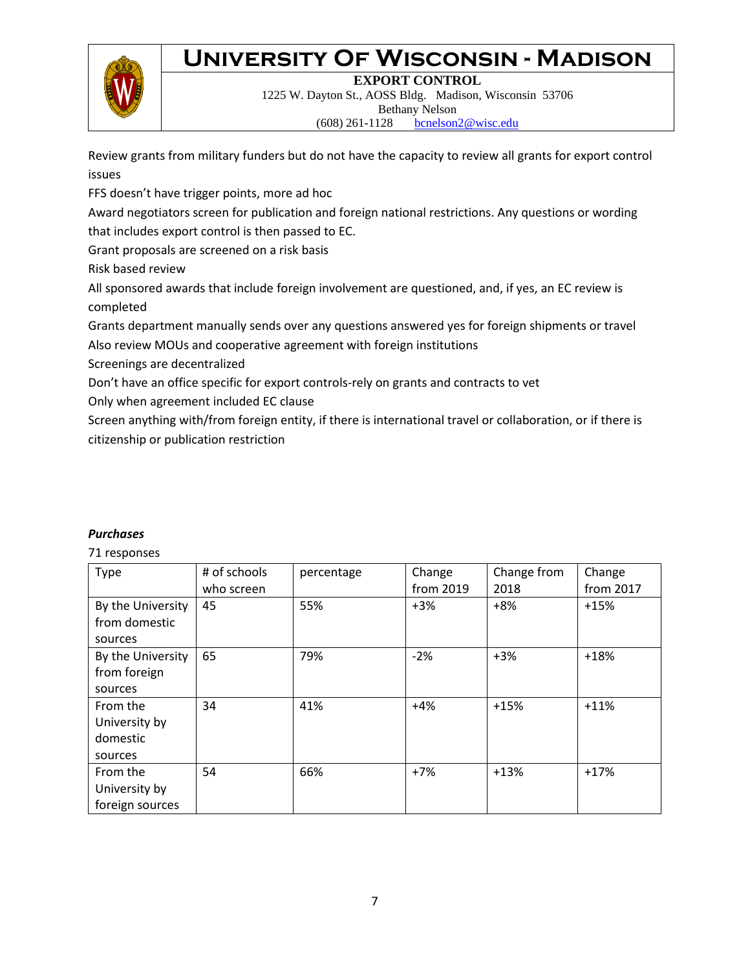**EXPORT CONTROL**

1225 W. Dayton St., AOSS Bldg. Madison, Wisconsin 53706 Bethany Nelson (608) 261-1128 [bcnelson2@wisc.edu](mailto:bcnelson2@wisc.edu)

Review grants from military funders but do not have the capacity to review all grants for export control issues

FFS doesn't have trigger points, more ad hoc

Award negotiators screen for publication and foreign national restrictions. Any questions or wording that includes export control is then passed to EC.

Grant proposals are screened on a risk basis

Risk based review

All sponsored awards that include foreign involvement are questioned, and, if yes, an EC review is completed

Grants department manually sends over any questions answered yes for foreign shipments or travel Also review MOUs and cooperative agreement with foreign institutions

Screenings are decentralized

Don't have an office specific for export controls-rely on grants and contracts to vet

Only when agreement included EC clause

Screen anything with/from foreign entity, if there is international travel or collaboration, or if there is citizenship or publication restriction

| Type                                             | # of schools<br>who screen | percentage | Change<br>from 2019 | Change from<br>2018 | Change<br>from 2017 |
|--------------------------------------------------|----------------------------|------------|---------------------|---------------------|---------------------|
| By the University<br>from domestic<br>sources    | 45                         | 55%        | $+3%$               | $+8%$               | $+15%$              |
| By the University<br>from foreign<br>sources     | 65                         | 79%        | $-2%$               | $+3%$               | $+18%$              |
| From the<br>University by<br>domestic<br>sources | 34                         | 41%        | $+4%$               | $+15%$              | $+11%$              |
| From the<br>University by<br>foreign sources     | 54                         | 66%        | $+7%$               | $+13%$              | $+17%$              |

### *Purchases*

71 responses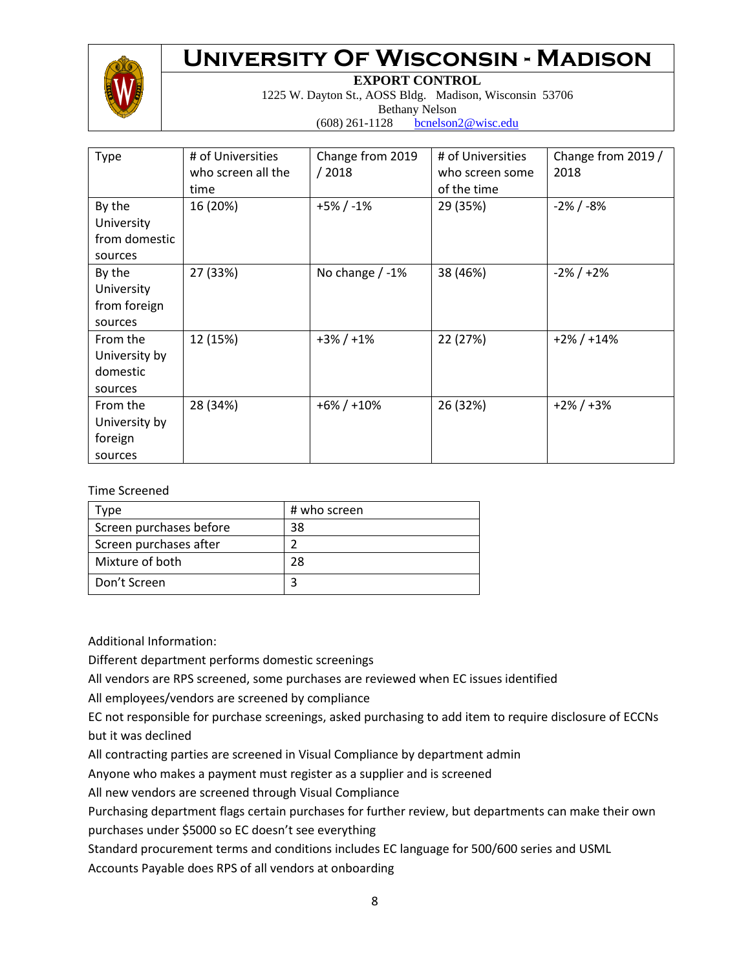

**EXPORT CONTROL**

1225 W. Dayton St., AOSS Bldg. Madison, Wisconsin 53706 Bethany Nelson (608) 261-1128 [bcnelson2@wisc.edu](mailto:bcnelson2@wisc.edu)

| <b>Type</b>                                      | # of Universities<br>who screen all the<br>time | Change from 2019<br>/2018 | # of Universities<br>who screen some<br>of the time | Change from 2019 /<br>2018 |
|--------------------------------------------------|-------------------------------------------------|---------------------------|-----------------------------------------------------|----------------------------|
| By the<br>University<br>from domestic<br>sources | 16 (20%)                                        | $+5\% / -1\%$             | 29 (35%)                                            | $-2\%$ / $-8\%$            |
| By the<br>University<br>from foreign<br>sources  | 27 (33%)                                        | No change $/ -1\%$        | 38 (46%)                                            | $-2\%$ / $+2\%$            |
| From the<br>University by<br>domestic<br>sources | 12 (15%)                                        | $+3\% / +1\%$             | 22 (27%)                                            | $+2\% / +14\%$             |
| From the<br>University by<br>foreign<br>sources  | 28 (34%)                                        | $+6\% / +10\%$            | 26 (32%)                                            | $+2\% / +3\%$              |

Time Screened

| vpe                     | # who screen |
|-------------------------|--------------|
| Screen purchases before | 38           |
| Screen purchases after  |              |
| Mixture of both         | 28           |
| Don't Screen            |              |

Additional Information:

Different department performs domestic screenings

All vendors are RPS screened, some purchases are reviewed when EC issues identified

All employees/vendors are screened by compliance

EC not responsible for purchase screenings, asked purchasing to add item to require disclosure of ECCNs but it was declined

All contracting parties are screened in Visual Compliance by department admin

Anyone who makes a payment must register as a supplier and is screened

All new vendors are screened through Visual Compliance

Purchasing department flags certain purchases for further review, but departments can make their own purchases under \$5000 so EC doesn't see everything

Standard procurement terms and conditions includes EC language for 500/600 series and USML

Accounts Payable does RPS of all vendors at onboarding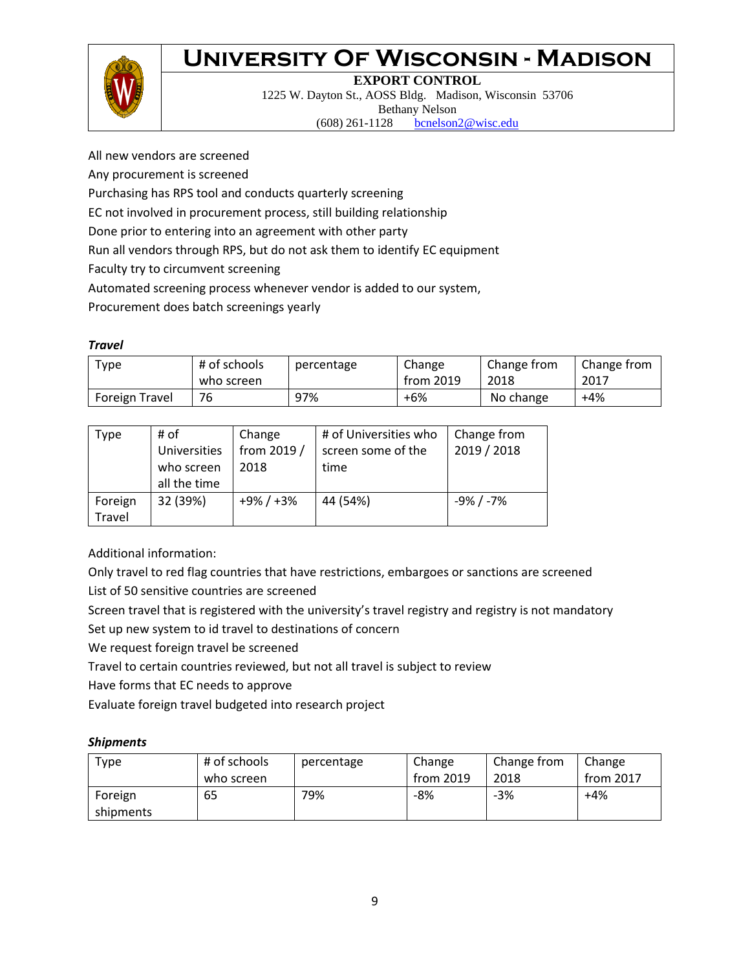

### **EXPORT CONTROL**

1225 W. Dayton St., AOSS Bldg. Madison, Wisconsin 53706 Bethany Nelson (608) 261-1128 [bcnelson2@wisc.edu](mailto:bcnelson2@wisc.edu)

All new vendors are screened

Any procurement is screened

Purchasing has RPS tool and conducts quarterly screening

EC not involved in procurement process, still building relationship

Done prior to entering into an agreement with other party

Run all vendors through RPS, but do not ask them to identify EC equipment

Faculty try to circumvent screening

Automated screening process whenever vendor is added to our system,

Procurement does batch screenings yearly

#### *Travel*

| Type           | # of schools<br>who screen | percentage | Change<br>from 2019 | Change from<br>2018 | Change from<br>2017 |
|----------------|----------------------------|------------|---------------------|---------------------|---------------------|
| Foreign Travel | 76                         | 97%        | $+6%$               | No change           | $+4%$               |

| Type              | # of<br>Universities<br>who screen<br>all the time | Change<br>from 2019 /<br>2018 | # of Universities who<br>screen some of the<br>time | Change from<br>2019 / 2018 |
|-------------------|----------------------------------------------------|-------------------------------|-----------------------------------------------------|----------------------------|
| Foreign<br>Travel | 32 (39%)                                           | $+9\% / +3\%$                 | 44 (54%)                                            | -9% / -7%                  |

Additional information:

Only travel to red flag countries that have restrictions, embargoes or sanctions are screened List of 50 sensitive countries are screened

Screen travel that is registered with the university's travel registry and registry is not mandatory

Set up new system to id travel to destinations of concern

We request foreign travel be screened

Travel to certain countries reviewed, but not all travel is subject to review

Have forms that EC needs to approve

Evaluate foreign travel budgeted into research project

#### *Shipments*

| Type                 | # of schools<br>who screen | percentage | Change<br>from 2019 | Change from<br>2018 | Change<br>from 2017 |
|----------------------|----------------------------|------------|---------------------|---------------------|---------------------|
| Foreign<br>shipments | 65                         | 79%        | -8%                 | $-3%$               | $+4%$               |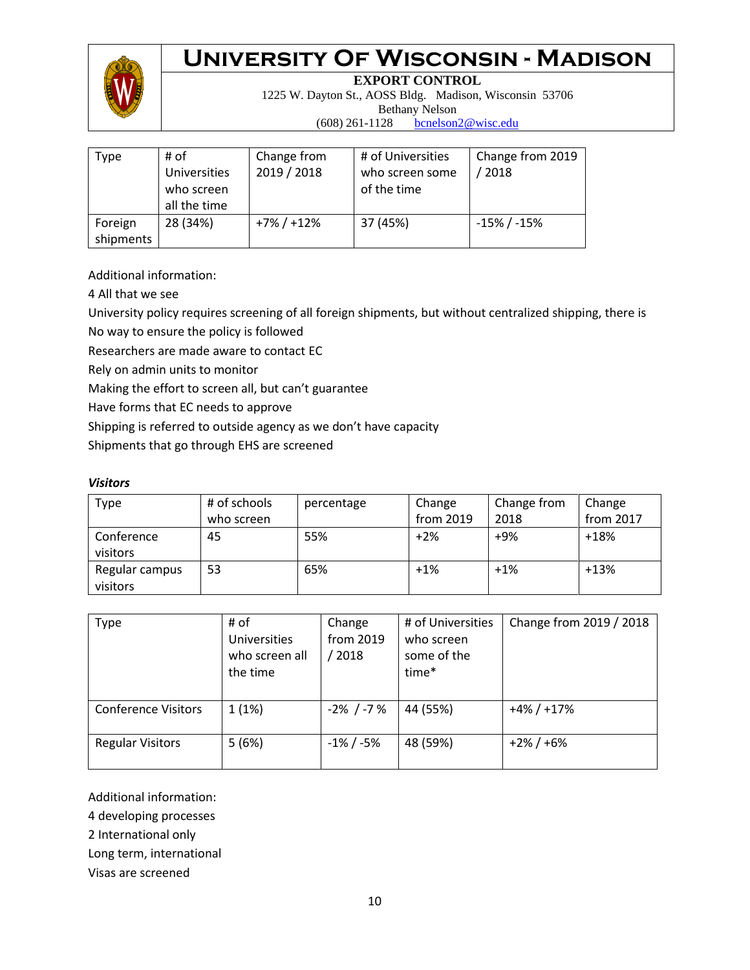

**EXPORT CONTROL**

1225 W. Dayton St., AOSS Bldg. Madison, Wisconsin 53706 Bethany Nelson

(608) 261-1128 [bcnelson2@wisc.edu](mailto:bcnelson2@wisc.edu)

| Type                 | # of<br>Universities<br>who screen<br>all the time | Change from<br>2019 / 2018 | # of Universities<br>who screen some<br>of the time | Change from 2019<br>/2018 |
|----------------------|----------------------------------------------------|----------------------------|-----------------------------------------------------|---------------------------|
| Foreign<br>shipments | 28 (34%)                                           | $+7\% / +12\%$             | 37 (45%)                                            | $-15\%$ / $-15\%$         |

Additional information:

4 All that we see

University policy requires screening of all foreign shipments, but without centralized shipping, there is

No way to ensure the policy is followed

Researchers are made aware to contact EC

Rely on admin units to monitor

Making the effort to screen all, but can't guarantee

Have forms that EC needs to approve

Shipping is referred to outside agency as we don't have capacity

Shipments that go through EHS are screened

#### *Visitors*

| Type                       | # of schools | percentage | Change    | Change from | Change    |
|----------------------------|--------------|------------|-----------|-------------|-----------|
|                            | who screen   |            | from 2019 | 2018        | from 2017 |
| Conference<br>visitors     | 45           | 55%        | $+2%$     | $+9%$       | $+18%$    |
| Regular campus<br>visitors | 53           | 65%        | $+1%$     | $+1\%$      | $+13%$    |

| Type                       | # of<br><b>Universities</b><br>who screen all<br>the time | Change<br>from 2019<br>2018 | # of Universities<br>who screen<br>some of the<br>time* | Change from 2019 / 2018 |
|----------------------------|-----------------------------------------------------------|-----------------------------|---------------------------------------------------------|-------------------------|
| <b>Conference Visitors</b> | 1(1%)                                                     | $-2\%$ / $-7\%$             | 44 (55%)                                                | $+4\% / +17\%$          |
| <b>Regular Visitors</b>    | 5(6%)                                                     | $-1\%$ / $-5\%$             | 48 (59%)                                                | $+2\% / +6\%$           |

Additional information:

4 developing processes

2 International only

Long term, international

Visas are screened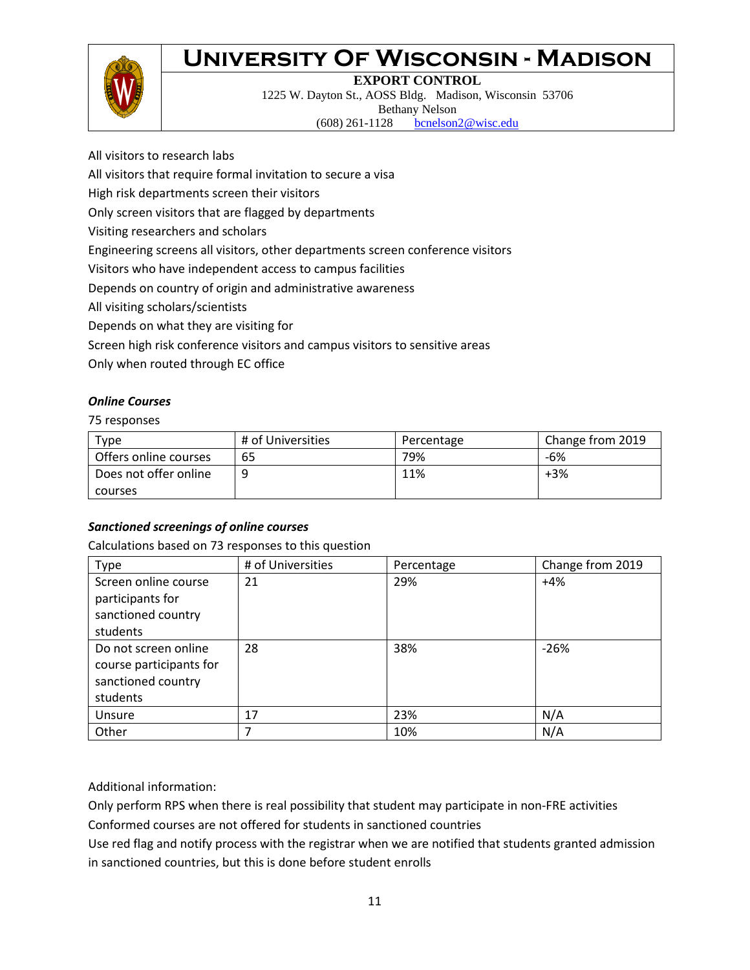

#### **EXPORT CONTROL**

1225 W. Dayton St., AOSS Bldg. Madison, Wisconsin 53706 Bethany Nelson (608) 261-1128 [bcnelson2@wisc.edu](mailto:bcnelson2@wisc.edu)

All visitors to research labs

All visitors that require formal invitation to secure a visa

High risk departments screen their visitors

Only screen visitors that are flagged by departments

Visiting researchers and scholars

Engineering screens all visitors, other departments screen conference visitors

Visitors who have independent access to campus facilities

Depends on country of origin and administrative awareness

All visiting scholars/scientists

Depends on what they are visiting for

Screen high risk conference visitors and campus visitors to sensitive areas

Only when routed through EC office

#### *Online Courses*

75 responses

| $_{\text{Type}}$      | # of Universities | Percentage | Change from 2019 |
|-----------------------|-------------------|------------|------------------|
| Offers online courses | 65                | 79%        | -6%              |
| Does not offer online | q                 | 11%        | $+3\%$           |
| courses               |                   |            |                  |

#### *Sanctioned screenings of online courses*

Calculations based on 73 responses to this question

| Type                                                                              | # of Universities | Percentage | Change from 2019 |
|-----------------------------------------------------------------------------------|-------------------|------------|------------------|
| Screen online course<br>participants for<br>sanctioned country<br>students        | 21                | 29%        | $+4%$            |
| Do not screen online<br>course participants for<br>sanctioned country<br>students | 28                | 38%        | $-26%$           |
| Unsure                                                                            | 17                | 23%        | N/A              |
| Other                                                                             | 7                 | 10%        | N/A              |

Additional information:

Only perform RPS when there is real possibility that student may participate in non-FRE activities

Conformed courses are not offered for students in sanctioned countries

Use red flag and notify process with the registrar when we are notified that students granted admission in sanctioned countries, but this is done before student enrolls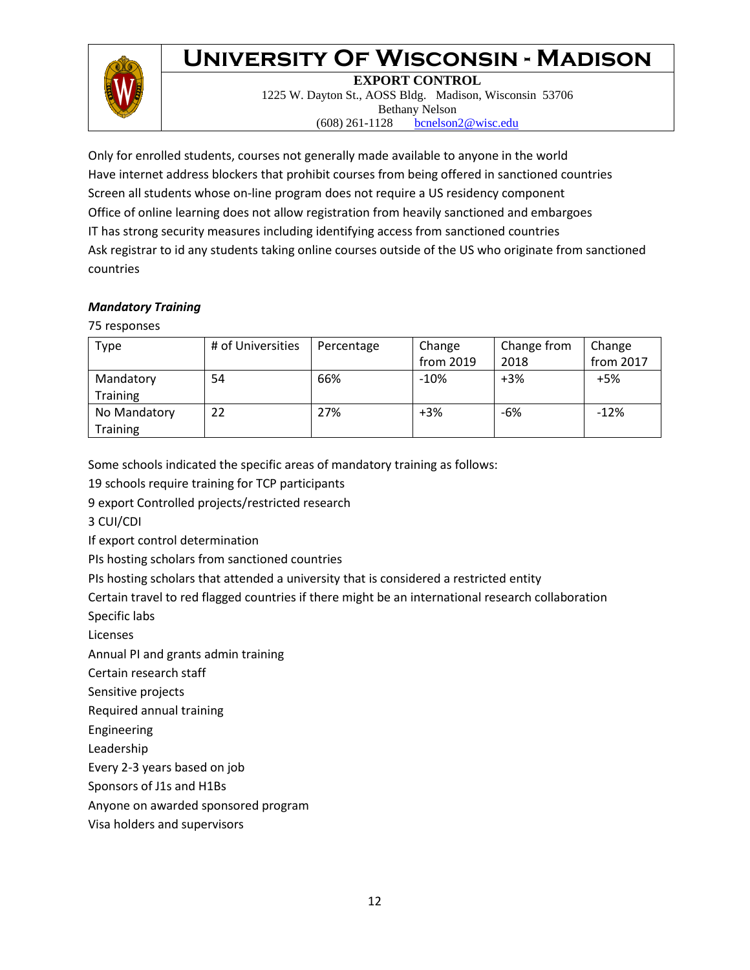

**EXPORT CONTROL**

1225 W. Dayton St., AOSS Bldg. Madison, Wisconsin 53706 Bethany Nelson (608) 261-1128 [bcnelson2@wisc.edu](mailto:bcnelson2@wisc.edu)

Only for enrolled students, courses not generally made available to anyone in the world Have internet address blockers that prohibit courses from being offered in sanctioned countries Screen all students whose on-line program does not require a US residency component Office of online learning does not allow registration from heavily sanctioned and embargoes IT has strong security measures including identifying access from sanctioned countries Ask registrar to id any students taking online courses outside of the US who originate from sanctioned countries

#### *Mandatory Training*

75 responses

| Type            | # of Universities | Percentage | Change    | Change from | Change    |
|-----------------|-------------------|------------|-----------|-------------|-----------|
|                 |                   |            | from 2019 | 2018        | from 2017 |
| Mandatory       | 54                | 66%        | $-10%$    | $+3%$       | $+5%$     |
| <b>Training</b> |                   |            |           |             |           |
| No Mandatory    | 22                | 27%        | $+3%$     | -6%         | $-12%$    |
| <b>Training</b> |                   |            |           |             |           |

Some schools indicated the specific areas of mandatory training as follows:

19 schools require training for TCP participants

9 export Controlled projects/restricted research

3 CUI/CDI

If export control determination

PIs hosting scholars from sanctioned countries

PIs hosting scholars that attended a university that is considered a restricted entity

Certain travel to red flagged countries if there might be an international research collaboration

Specific labs

Licenses

Annual PI and grants admin training

Certain research staff

Sensitive projects

Required annual training

Engineering

Leadership

Every 2-3 years based on job

Sponsors of J1s and H1Bs

Anyone on awarded sponsored program

Visa holders and supervisors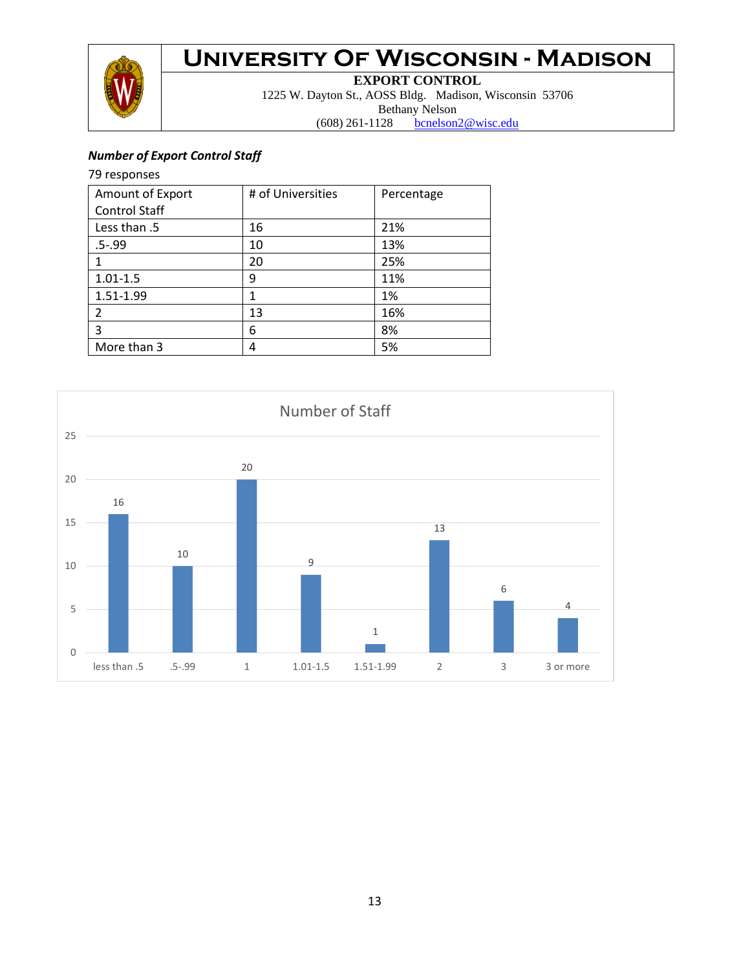

**EXPORT CONTROL**

1225 W. Dayton St., AOSS Bldg. Madison, Wisconsin 53706 Bethany Nelson

(608) 261-1128 [bcnelson2@wisc.edu](mailto:bcnelson2@wisc.edu)

### *Number of Export Control Staff*

#### 79 responses

| Amount of Export     | # of Universities | Percentage |
|----------------------|-------------------|------------|
| <b>Control Staff</b> |                   |            |
| Less than .5         | 16                | 21%        |
| $.5 - .99$           | 10                | 13%        |
|                      | 20                | 25%        |
| $1.01 - 1.5$         | 9                 | 11%        |
| 1.51-1.99            | 1                 | 1%         |
|                      | 13                | 16%        |
| 3                    | 6                 | 8%         |
| More than 3          | 4                 | 5%         |

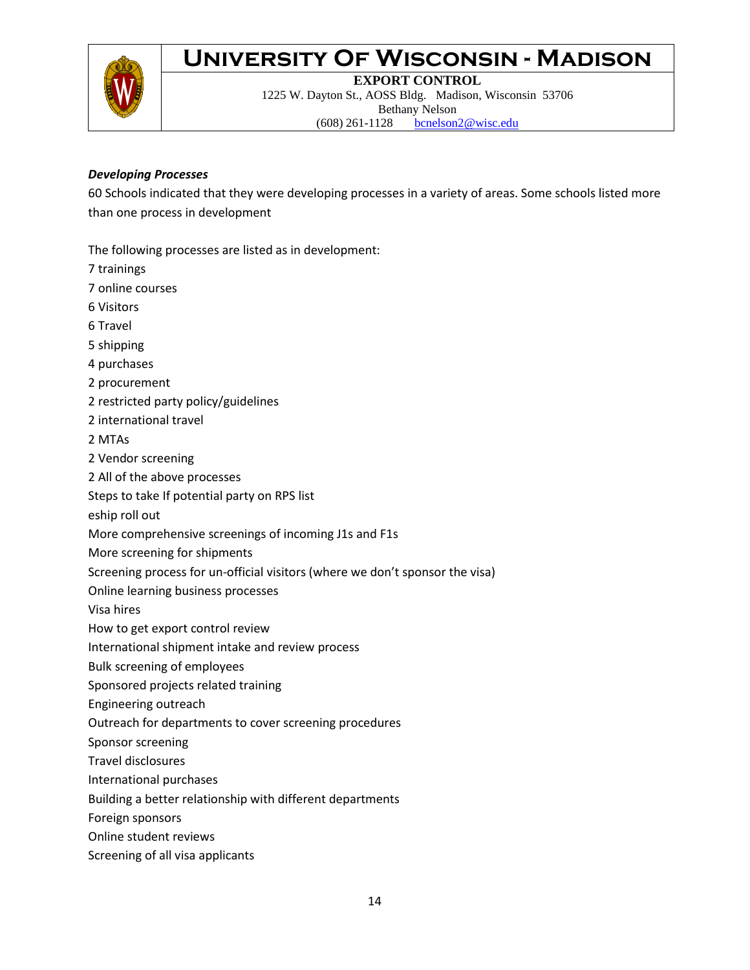

**EXPORT CONTROL** 1225 W. Dayton St., AOSS Bldg. Madison, Wisconsin 53706 Bethany Nelson (608) 261-1128 [bcnelson2@wisc.edu](mailto:bcnelson2@wisc.edu)

#### *Developing Processes*

60 Schools indicated that they were developing processes in a variety of areas. Some schools listed more than one process in development

The following processes are listed as in development:

- 7 trainings
- 7 online courses
- 6 Visitors
- 6 Travel
- 5 shipping
- 4 purchases
- 2 procurement
- 2 restricted party policy/guidelines
- 2 international travel
- 2 MTAs
- 2 Vendor screening
- 2 All of the above processes
- Steps to take If potential party on RPS list
- eship roll out
- More comprehensive screenings of incoming J1s and F1s
- More screening for shipments
- Screening process for un-official visitors (where we don't sponsor the visa)
- Online learning business processes

Visa hires

- How to get export control review
- International shipment intake and review process
- Bulk screening of employees
- Sponsored projects related training
- Engineering outreach
- Outreach for departments to cover screening procedures
- Sponsor screening
- Travel disclosures
- International purchases
- Building a better relationship with different departments
- Foreign sponsors
- Online student reviews
- Screening of all visa applicants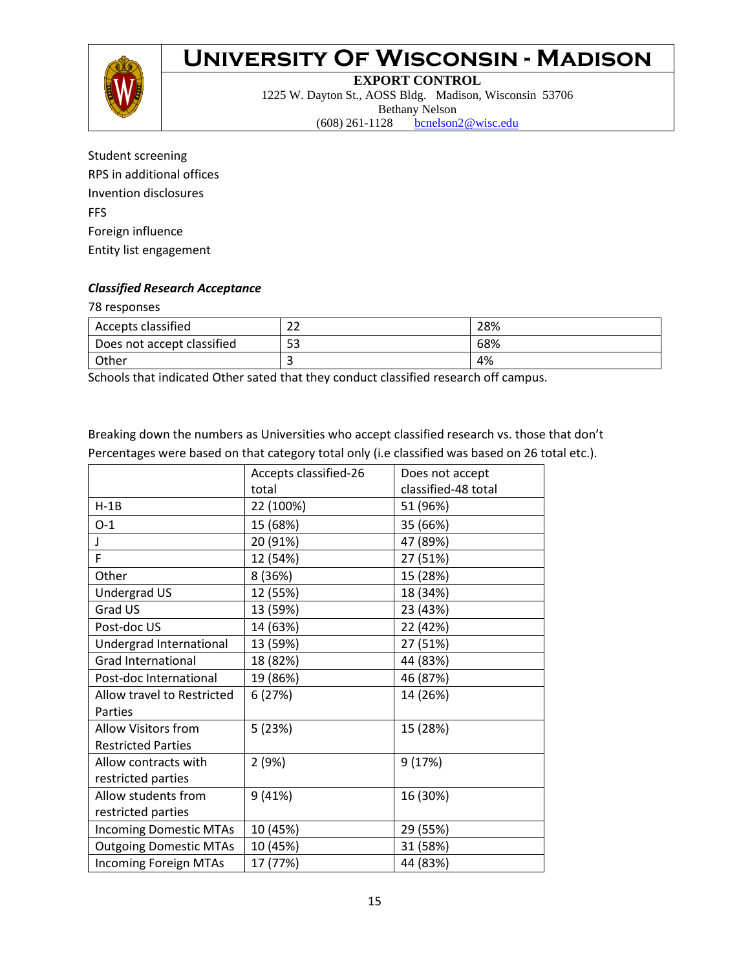

#### **EXPORT CONTROL** 1225 W. Dayton St., AOSS Bldg. Madison, Wisconsin 53706 Bethany Nelson (608) 261-1128 [bcnelson2@wisc.edu](mailto:bcnelson2@wisc.edu)

Student screening RPS in additional offices Invention disclosures FFS Foreign influence Entity list engagement

#### *Classified Research Acceptance*

78 responses

| Accepts classified         | າາ<br>ᅩ | 28% |
|----------------------------|---------|-----|
| Does not accept classified | 53      | 68% |
| Other                      |         | 4%  |

Schools that indicated Other sated that they conduct classified research off campus.

Breaking down the numbers as Universities who accept classified research vs. those that don't Percentages were based on that category total only (i.e classified was based on 26 total etc.).

|                               | Accepts classified-26 | Does not accept     |
|-------------------------------|-----------------------|---------------------|
|                               | total                 | classified-48 total |
| $H-1B$                        | 22 (100%)             | 51 (96%)            |
| $O-1$                         | 15 (68%)              | 35 (66%)            |
| T                             | 20 (91%)              | 47 (89%)            |
| F.                            | 12 (54%)              | 27 (51%)            |
| Other                         | 8 (36%)               | 15 (28%)            |
| Undergrad US                  | 12 (55%)              | 18 (34%)            |
| Grad US                       | 13 (59%)              | 23 (43%)            |
| Post-doc US                   | 14 (63%)              | 22 (42%)            |
| Undergrad International       | 13 (59%)              | 27 (51%)            |
| <b>Grad International</b>     | 18 (82%)              | 44 (83%)            |
| Post-doc International        | 19 (86%)              | 46 (87%)            |
| Allow travel to Restricted    | 6(27%)                | 14 (26%)            |
| Parties                       |                       |                     |
| <b>Allow Visitors from</b>    | 5(23%)                | 15 (28%)            |
| <b>Restricted Parties</b>     |                       |                     |
| Allow contracts with          | 2(9%)                 | 9(17%)              |
| restricted parties            |                       |                     |
| Allow students from           | 9(41%)                | 16 (30%)            |
| restricted parties            |                       |                     |
| <b>Incoming Domestic MTAs</b> | 10 (45%)              | 29 (55%)            |
| <b>Outgoing Domestic MTAs</b> | 10 (45%)              | 31 (58%)            |
| <b>Incoming Foreign MTAs</b>  | 17 (77%)              | 44 (83%)            |